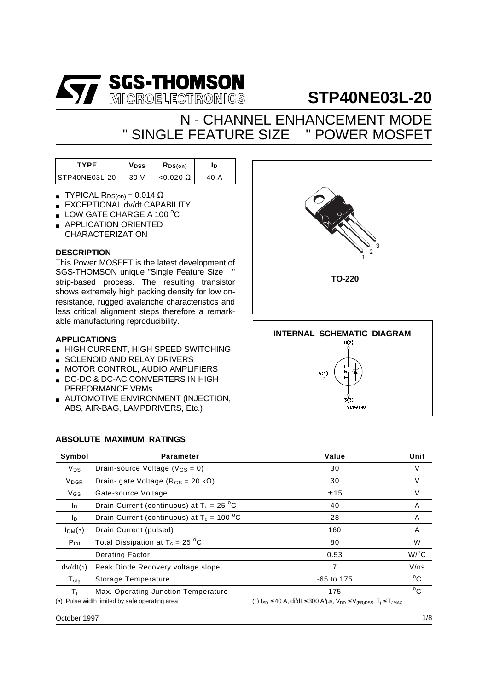

# **STP40NE03L-20**

## N - CHANNEL ENHANCEMENT MODE " SINGLE FFATURE SIZETM " POWER MOSFET

| TYPF          | Vpss<br>$R_{DS(on)}$ |                  | םו   |
|---------------|----------------------|------------------|------|
| STP40NE03L-20 | 30 V                 | $< 0.020 \Omega$ | 40 A |

- **TYPICAL R**DS(on) = 0.014  $\Omega$
- EXCEPTIONAL dv/dt CAPABILITY
- $\blacksquare$  LOW GATE CHARGE A 100 °C
- APPLICATION ORIENTED CHARACTERIZATION

#### **DESCRIPTION**

This Power MOSFET is the latest development of SGS-THOMSON unique "Single Feature Size<sup>TM</sup>" strip-based process. The resulting transistor shows extremely high packing density for low onresistance, rugged avalanche characteristics and less critical alignment steps therefore a remarkable manufacturing reproducibility.

#### **APPLICATIONS**

- HIGH CURRENT, HIGH SPEED SWITCHING
- SOLENOID AND RELAY DRIVERS
- **MOTOR CONTROL, AUDIO AMPLIFIERS**
- DC-DC & DC-AC CONVERTERS IN HIGH PERFORMANCE VRMs
- **AUTOMOTIVE ENVIRONMENT (INJECTION,** ABS, AIR-BAG, LAMPDRIVERS, Etc.)

#### **ABSOLUTE MAXIMUM RATINGS**

| Symbol                  | <b>Parameter</b>                                 | Value                                                                                                          | Unit               |
|-------------------------|--------------------------------------------------|----------------------------------------------------------------------------------------------------------------|--------------------|
| $V_{DS}$                | Drain-source Voltage ( $V_{GS} = 0$ )            | 30                                                                                                             | V                  |
| <b>V</b> <sub>DGR</sub> | Drain- gate Voltage ( $R_{GS}$ = 20 k $\Omega$ ) | 30                                                                                                             | $\vee$             |
| $V$ <sub>GS</sub>       | Gate-source Voltage                              | ± 15                                                                                                           | $\vee$             |
| I <sub>D</sub>          | Drain Current (continuous) at $T_c = 25 °C$      | 40                                                                                                             | A                  |
| I <sub>D</sub>          | Drain Current (continuous) at $T_c = 100 °C$     | 28                                                                                                             | A                  |
| $I_{DM}(\bullet)$       | Drain Current (pulsed)                           | 160                                                                                                            | A                  |
| $P_{\text{tot}}$        | Total Dissipation at $T_c = 25 \degree C$        | 80                                                                                                             | W                  |
|                         | Derating Factor                                  | 0.53                                                                                                           | $W$ / $^{\circ}$ C |
| dv/dt(1)                | Peak Diode Recovery voltage slope                | 7                                                                                                              | V/ns               |
| $T_{\text{stg}}$        | Storage Temperature                              | -65 to 175                                                                                                     | $^{\circ}$ C       |
| Τi                      | Max. Operating Junction Temperature              | 175                                                                                                            | $^{\circ}$ C       |
|                         | (•) Pulse width limited by safe operating area   | $\overline{(1) 1_{SD} \leq 40 A}$ , di/dt $\leq 300 A/\mu s$ , $V_{DD} \leq V_{(BR)DSS}$ , $T_j \leq T_{JMAX}$ |                    |

October 1997

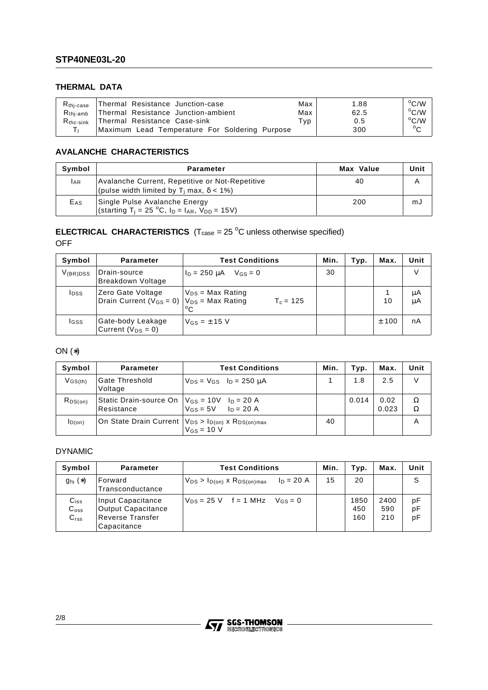## **THERMAL DATA**

| $R_{\rm thi-case}$ | Thermal Resistance Junction-case               | Max                        | 1.88 | $^{\circ}$ C/W |
|--------------------|------------------------------------------------|----------------------------|------|----------------|
| $R_{\rm thi-amb}$  | Thermal Resistance Junction-ambient            | Max                        | 62.5 | $^{\circ}$ C/W |
| $R_{\rm thc-sink}$ | Thermal Resistance Case-sink                   | $^{\mathsf{\tau}}$ yp $^-$ | 0.5  | $\rm ^{o}C/W$  |
|                    | Maximum Lead Temperature For Soldering Purpose |                            | 300  | $\circ$        |

#### **AVALANCHE CHARACTERISTICS**

| Symbol          | <b>Parameter</b>                                                                                                             | Max Value | Unit |
|-----------------|------------------------------------------------------------------------------------------------------------------------------|-----------|------|
| IAR             | Avalanche Current, Repetitive or Not-Repetitive<br>(pulse width limited by $T_i$ max, $\delta$ < 1%)                         | 40        |      |
| E <sub>AS</sub> | Single Pulse Avalanche Energy<br>(starting T <sub>i</sub> = 25 °C, I <sub>D</sub> = I <sub>AR</sub> , V <sub>DD</sub> = 15V) | 200       | mJ   |

## **ELECTRICAL CHARACTERISTICS**  $(T_{\text{case}} = 25 \text{ °C}$  unless otherwise specified)

OFF

| Symbol        | <b>Parameter</b>                                                          | <b>Test Conditions</b>                     | Min. | Typ. | Max. | Unit     |
|---------------|---------------------------------------------------------------------------|--------------------------------------------|------|------|------|----------|
| $V_{(BR)DSS}$ | Drain-source<br>Breakdown Voltage                                         | $\ln = 250 \text{ uA}$ $\sqrt{gs} = 0$     | 30   |      |      | V        |
| <b>I</b> pss  | Zero Gate Voltage<br>Drain Current ( $V_{GS} = 0$ ) $V_{DS} = Max Rating$ | $V_{DS}$ = Max Rating<br>$T_c = 125$<br>°C |      |      | 10   | μA<br>μA |
| lgss          | Gate-body Leakage<br>Current ( $V_{DS} = 0$ )                             | $V$ <sub>GS</sub> = $\pm$ 15 V             |      |      | ±100 | nA       |

## ON (∗)

| Symbol       | <b>Parameter</b>                                                                       | <b>Test Conditions</b>              | Min. | Typ.  | Max.          | Unit   |
|--------------|----------------------------------------------------------------------------------------|-------------------------------------|------|-------|---------------|--------|
| $V$ GS(th)   | Gate Threshold<br>Voltage                                                              | $V_{DS} = V_{GS}$ $I_D = 250 \mu A$ |      | 1.8   | 2.5           | V      |
| $R_{DS(on)}$ | Static Drain-source On $ V_{GS} = 10V$ $ _{D} = 20 A$<br>Resistance                    | $V_{GS} = 5V$ $I_D = 20 A$          |      | 0.014 | 0.02<br>0.023 | Ω<br>Ω |
| ID(on)       | On State Drain Current   V <sub>DS</sub> > I <sub>D(on)</sub> x R <sub>DS(on)max</sub> | $V$ <sub>GS</sub> = 10 V            | 40   |       |               | А      |

#### DYNAMIC

| Symbol                                              | <b>Parameter</b>                                                                  | <b>Test Conditions</b>                                | Min. | Typ.               | Max.               | Unit           |
|-----------------------------------------------------|-----------------------------------------------------------------------------------|-------------------------------------------------------|------|--------------------|--------------------|----------------|
| $g_{fs}(*)$                                         | Forward<br>Transconductance                                                       | $ln = 20 A$<br>$V_{DS} > I_{D(on)}$ x $R_{DS(on)max}$ | 15   | 20                 |                    | S              |
| $C_{iss}$<br>$\mathrm{C_{oss}}$<br>C <sub>rss</sub> | Input Capacitance<br><b>Output Capacitance</b><br>Reverse Transfer<br>Capacitance | $V_{DS} = 25$ V f = 1 MHz $V_{GS} = 0$                |      | 1850<br>450<br>160 | 2400<br>590<br>210 | рF<br>рF<br>рF |

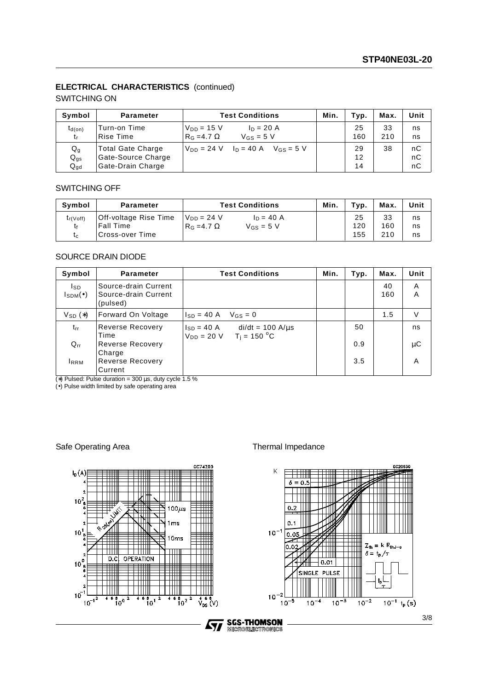#### **ELECTRICAL CHARACTERISTICS** (continued)

#### SWITCHING ON

| Symbol                     | <b>Parameter</b>                                                    | <b>Test Conditions</b>                                                          | Min. | Typ.           | Max.      | Unit           |
|----------------------------|---------------------------------------------------------------------|---------------------------------------------------------------------------------|------|----------------|-----------|----------------|
| $t_{d(on)}$<br>t,          | Turn-on Time<br>Rise Time                                           | $V_{DD} = 15 V$<br>$ln = 20 A$<br>$R_G = 4.7 \Omega$<br>$V$ <sub>GS</sub> = 5 V |      | 25<br>160      | 33<br>210 | ns<br>ns       |
| Qg<br>$Q_{gs}$<br>$Q_{gd}$ | <b>Total Gate Charge</b><br>Gate-Source Charge<br>Gate-Drain Charge | $V_{DD} = 24$ V $I_D = 40$ A $V_{GS} = 5$ V                                     |      | 29<br>12<br>14 | 38        | nC<br>nC<br>nC |

#### SWITCHING OFF

| Symbol              | <b>Parameter</b>                                              | <b>Test Conditions</b>                                           | Min. | Tvp.             | Max.             | Unit           |
|---------------------|---------------------------------------------------------------|------------------------------------------------------------------|------|------------------|------------------|----------------|
| $t_{r(Voff)}$<br>tc | Off-voltage Rise Time<br><b>Fall Time</b><br>'Cross-over Time | l Vnn = 24 V<br>$In = 40 A$<br>$V$ Gs = 5 V<br>$RG = 4.7 \Omega$ |      | 25<br>120<br>155 | 33<br>160<br>210 | ns<br>ns<br>ns |

#### SOURCE DRAIN DIODE

| Symbol                            | <b>Parameter</b>                                         | <b>Test Conditions</b>                                                        | Min. | Typ. | Max.      | Unit   |
|-----------------------------------|----------------------------------------------------------|-------------------------------------------------------------------------------|------|------|-----------|--------|
| Isp.<br>$I_{\text{SDM}}(\bullet)$ | Source-drain Current<br>Source-drain Current<br>(pulsed) |                                                                               |      |      | 40<br>160 | A<br>A |
| $V_{SD}$ $(*)$                    | Forward On Voltage                                       | $V_{GS} = 0$<br>$I_{SD} = 40 A$                                               |      |      | 1.5       | V      |
| trr                               | Reverse Recovery<br>Time                                 | $di/dt = 100 A/\mu s$<br>$I_{SD} = 40 A$<br>$T_i = 150 °C$<br>$V_{DD} = 20 V$ |      | 50   |           | ns     |
| $Q_{rr}$                          | Reverse Recovery                                         |                                                                               |      | 0.9  |           | μC     |
| <b>RRM</b>                        | Charge<br>Reverse Recovery<br>Current                    |                                                                               |      | 3.5  |           | A      |

(\*) Pulsed: Pulse duration =  $300 \,\mu s$ , duty cycle 1.5 %

(•) Pulse width limited by safe operating area

Safe Operating Area Thermal Impedance



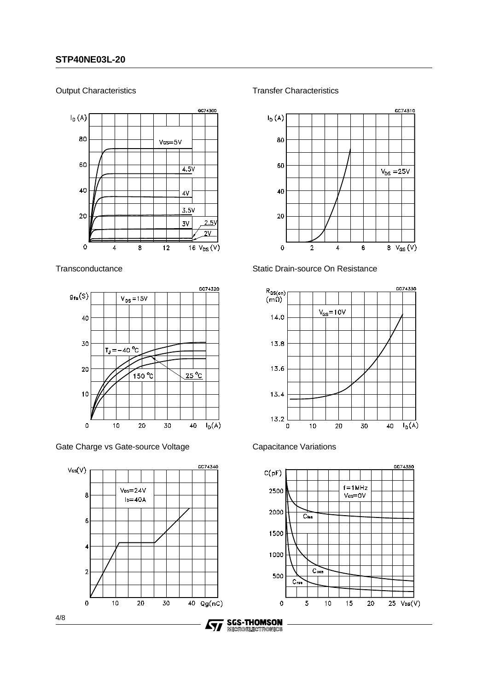#### Output Characteristics



**Transconductance** 



Gate Charge vs Gate-source Voltage



Transfer Characteristics



Static Drain-source On Resistance



Capacitance Variations



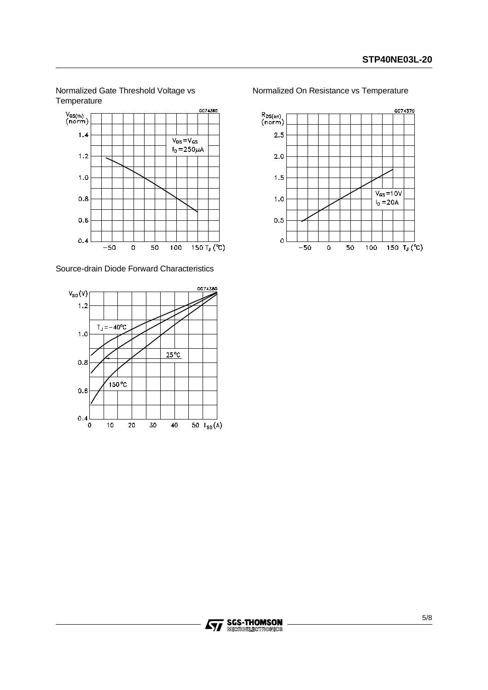Normalized Gate Threshold Voltage vs **Temperature** 



Source-drain Diode Forward Characteristics



Normalized On Resistance vs Temperature

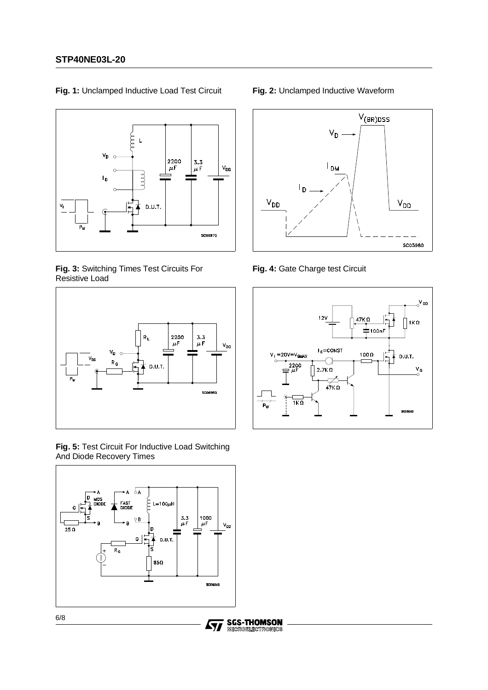

**Fig. 1:** Unclamped Inductive Load Test Circuit

**Fig. 3:** Switching Times Test Circuits For Resistive Load



**Fig. 5:** Test Circuit For Inductive Load Switching And Diode Recovery Times



57

#### **Fig. 2:** Unclamped Inductive Waveform



**Fig. 4:** Gate Charge test Circuit

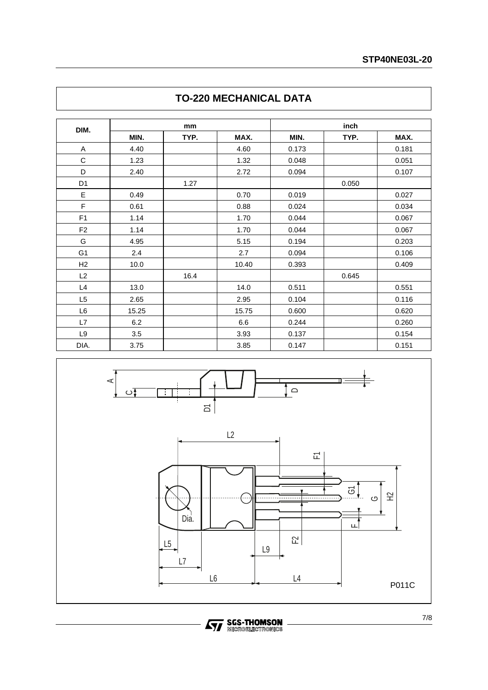|                |       | mm   |       | inch  |       |       |  |
|----------------|-------|------|-------|-------|-------|-------|--|
| DIM.           | MIN.  | TYP. | MAX.  | MIN.  | TYP.  | MAX.  |  |
| Α              | 4.40  |      | 4.60  | 0.173 |       | 0.181 |  |
| C              | 1.23  |      | 1.32  | 0.048 |       | 0.051 |  |
| D              | 2.40  |      | 2.72  | 0.094 |       | 0.107 |  |
| D <sub>1</sub> |       | 1.27 |       |       | 0.050 |       |  |
| E              | 0.49  |      | 0.70  | 0.019 |       | 0.027 |  |
| F              | 0.61  |      | 0.88  | 0.024 |       | 0.034 |  |
| F <sub>1</sub> | 1.14  |      | 1.70  | 0.044 |       | 0.067 |  |
| F <sub>2</sub> | 1.14  |      | 1.70  | 0.044 |       | 0.067 |  |
| G              | 4.95  |      | 5.15  | 0.194 |       | 0.203 |  |
| G <sub>1</sub> | 2.4   |      | 2.7   | 0.094 |       | 0.106 |  |
| H2             | 10.0  |      | 10.40 | 0.393 |       | 0.409 |  |
| L2             |       | 16.4 |       |       | 0.645 |       |  |
| L4             | 13.0  |      | 14.0  | 0.511 |       | 0.551 |  |
| L <sub>5</sub> | 2.65  |      | 2.95  | 0.104 |       | 0.116 |  |
| L6             | 15.25 |      | 15.75 | 0.600 |       | 0.620 |  |
| L7             | 6.2   |      | 6.6   | 0.244 |       | 0.260 |  |
| L9             | 3.5   |      | 3.93  | 0.137 |       | 0.154 |  |
| DIA.           | 3.75  |      | 3.85  | 0.147 |       | 0.151 |  |

## **TO-220 MECHANICAL DATA**